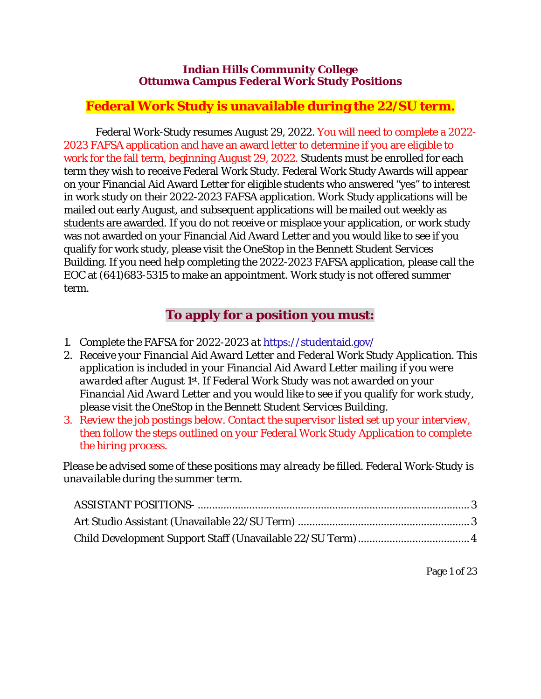#### **Indian Hills Community College Ottumwa Campus Federal Work Study Positions**

# **Federal Work Study is unavailable during the 22/SU term.**

Federal Work-Study resumes August 29, 2022. You will need to complete a 2022- 2023 FAFSA application and have an award letter to determine if you are eligible to work for the fall term, beginning August 29, 2022. Students must be enrolled for each term they wish to receive Federal Work Study. Federal Work Study Awards will appear on your Financial Aid Award Letter for eligible students who answered "yes" to interest in work study on their 2022-2023 FAFSA application. Work Study applications will be mailed out early August, and subsequent applications will be mailed out weekly as students are awarded. If you do not receive or misplace your application, or work study was not awarded on your Financial Aid Award Letter and you would like to see if you qualify for work study, please visit the OneStop in the Bennett Student Services Building. If you need help completing the 2022-2023 FAFSA application, please call the EOC at (641)683-5315 to make an appointment. Work study is not offered summer term.

# **To apply for a position you must:**

- *1. Complete the FAFSA for 2022-2023 at* https://studentaid.gov/
- *2. Receive your Financial Aid Award Letter and Federal Work Study Application. This application is included in your Financial Aid Award Letter mailing if you were awarded after August 1st. If Federal Work Study was not awarded on your Financial Aid Award Letter and you would like to see if you qualify for work study, please visit the OneStop in the Bennett Student Services Building.*
- *3. Review the job postings below. Contact the supervisor listed set up your interview, then follow the steps outlined on your Federal Work Study Application to complete the hiring process.*

*Please be advised some of these positions may already be filled. Federal Work-Study is unavailable during the summer term.*

Page 1 of 23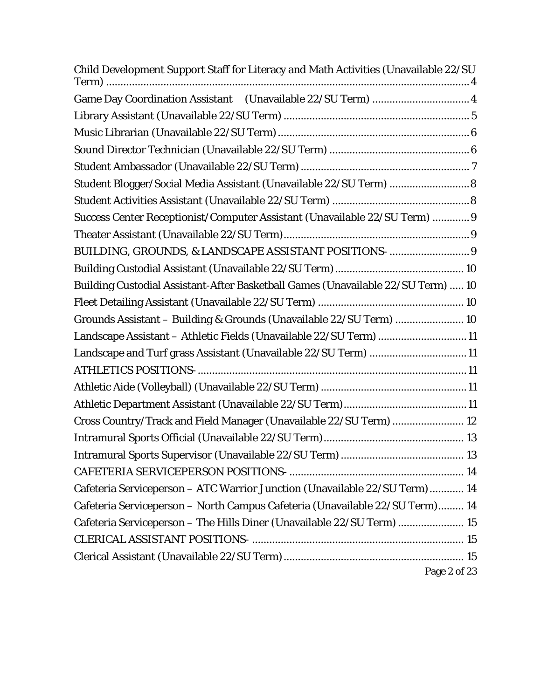| Child Development Support Staff for Literacy and Math Activities (Unavailable 22/SU |
|-------------------------------------------------------------------------------------|
| Game Day Coordination Assistant (Unavailable 22/SU Term)  4                         |
|                                                                                     |
|                                                                                     |
|                                                                                     |
|                                                                                     |
| Student Blogger/Social Media Assistant (Unavailable 22/SU Term)  8                  |
|                                                                                     |
| Success Center Receptionist/Computer Assistant (Unavailable 22/SU Term)  9          |
|                                                                                     |
| BUILDING, GROUNDS, & LANDSCAPE ASSISTANT POSITIONS-  9                              |
|                                                                                     |
| Building Custodial Assistant-After Basketball Games (Unavailable 22/SU Term)  10    |
|                                                                                     |
| Grounds Assistant - Building & Grounds (Unavailable 22/SU Term)  10                 |
| Landscape Assistant - Athletic Fields (Unavailable 22/SU Term) 11                   |
| Landscape and Turf grass Assistant (Unavailable 22/SU Term) 11                      |
|                                                                                     |
|                                                                                     |
|                                                                                     |
| Cross Country/Track and Field Manager (Unavailable 22/SU Term)  12                  |
|                                                                                     |
|                                                                                     |
|                                                                                     |
| Cafeteria Serviceperson - ATC Warrior Junction (Unavailable 22/SU Term)  14         |
| Cafeteria Serviceperson - North Campus Cafeteria (Unavailable 22/SU Term) 14        |
| Cafeteria Serviceperson - The Hills Diner (Unavailable 22/SU Term)  15              |
|                                                                                     |
| Page 2 of 23                                                                        |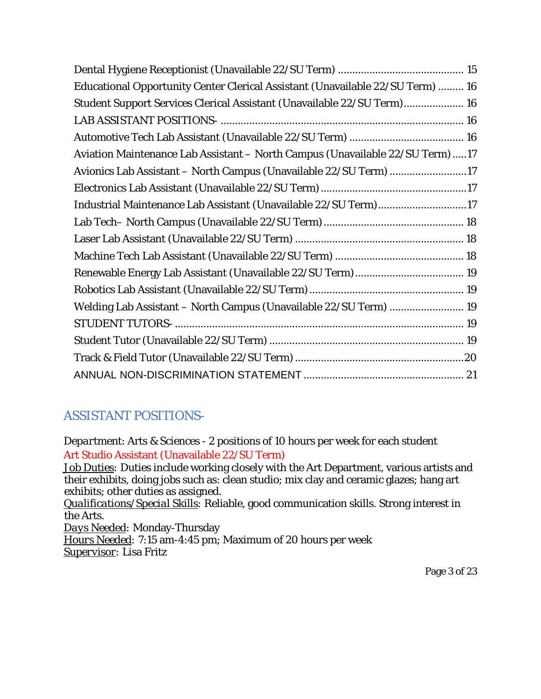| Educational Opportunity Center Clerical Assistant (Unavailable 22/SU Term)  16 |
|--------------------------------------------------------------------------------|
| Student Support Services Clerical Assistant (Unavailable 22/SU Term) 16        |
|                                                                                |
|                                                                                |
| Aviation Maintenance Lab Assistant - North Campus (Unavailable 22/SU Term) 17  |
| Avionics Lab Assistant - North Campus (Unavailable 22/SU Term) 17              |
|                                                                                |
| Industrial Maintenance Lab Assistant (Unavailable 22/SU Term)17                |
|                                                                                |
|                                                                                |
|                                                                                |
|                                                                                |
|                                                                                |
| Welding Lab Assistant - North Campus (Unavailable 22/SU Term)  19              |
|                                                                                |
|                                                                                |
|                                                                                |
|                                                                                |

# <span id="page-2-0"></span>ASSISTANT POSITIONS-

<span id="page-2-1"></span>*Department*: Arts & Sciences - 2 positions of 10 hours per week for each student Art Studio Assistant (Unavailable 22/SU Term) *Job Duties:* Duties include working closely with the Art Department, various artists and

their exhibits, doing jobs such as: clean studio; mix clay and ceramic glazes; hang art exhibits; other duties as assigned.

*Qualifications/Special Skills:* Reliable, good communication skills. Strong interest in the Arts.

*Days Needed:* Monday-Thursday

*Hours Needed:* 7:15 am-4:45 pm; Maximum of 20 hours per week *Supervisor:* Lisa Fritz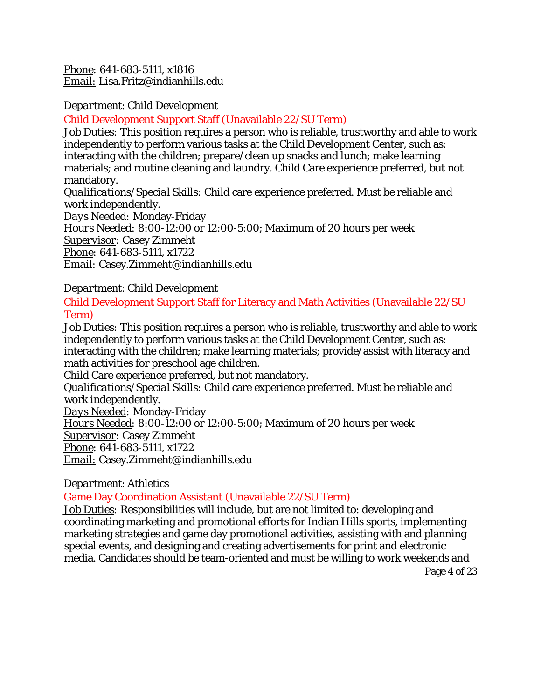*Phone:* 641-683-5111, x1816 *Email:* [Lisa.Fritz@indianhills.edu](mailto:Lisa.Fritz@indianhills.edu)

*Department*: Child Development

# <span id="page-3-0"></span>Child Development Support Staff (Unavailable 22/SU Term)

*Job Duties:* This position requires a person who is reliable, trustworthy and able to work independently to perform various tasks at the Child Development Center, such as: interacting with the children; prepare/clean up snacks and lunch; make learning materials; and routine cleaning and laundry. Child Care experience preferred, but not mandatory.

*Qualifications/Special Skills:* Child care experience preferred. Must be reliable and work independently.

*Days Needed:* Monday-Friday

*Hours Needed:* 8:00-12:00 or 12:00-5:00; Maximum of 20 hours per week

*Supervisor:* Casey Zimmeht

*Phone:* 641-683-5111, x1722

*Email:* Casey.Zimmeht@indianhills.edu

*Department*: Child Development

<span id="page-3-1"></span>Child Development Support Staff for Literacy and Math Activities (Unavailable 22/SU Term)

*Job Duties:* This position requires a person who is reliable, trustworthy and able to work independently to perform various tasks at the Child Development Center, such as: interacting with the children; make learning materials; provide/assist with literacy and math activities for preschool age children.

Child Care experience preferred, but not mandatory.

*Qualifications/Special Skills:* Child care experience preferred. Must be reliable and work independently.

*Days Needed:* Monday-Friday

*Hours Needed:* 8:00-12:00 or 12:00-5:00; Maximum of 20 hours per week *Supervisor:* Casey Zimmeht

*Phone:* 641-683-5111, x1722

*Email:* Casey.Zimmeht@indianhills.edu

# *Department*: Athletics

<span id="page-3-2"></span>Game Day Coordination Assistant (Unavailable 22/SU Term)

*Job Duties:* Responsibilities will include, but are not limited to: developing and coordinating marketing and promotional efforts for Indian Hills sports, implementing marketing strategies and game day promotional activities, assisting with and planning special events, and designing and creating advertisements for print and electronic media. Candidates should be team-oriented and must be willing to work weekends and

Page 4 of 23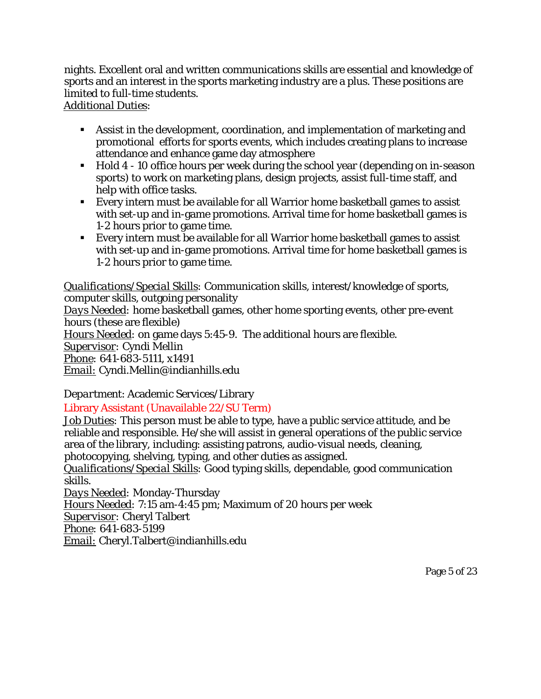nights. Excellent oral and written communications skills are essential and knowledge of sports and an interest in the sports marketing industry are a plus. These positions are limited to full-time students.

## *Additional Duties*:

- Assist in the development, coordination, and implementation of marketing and promotional efforts for sports events, which includes creating plans to increase attendance and enhance game day atmosphere
- Hold 4 10 office hours per week during the school year (depending on in-season sports) to work on marketing plans, design projects, assist full-time staff, and help with office tasks.
- Every intern must be available for all Warrior home basketball games to assist with set-up and in-game promotions. Arrival time for home basketball games is 1-2 hours prior to game time.
- Every intern must be available for all Warrior home basketball games to assist with set-up and in-game promotions. Arrival time for home basketball games is 1-2 hours prior to game time.

*Qualifications/Special Skills:* Communication skills, interest/knowledge of sports, computer skills, outgoing personality

*Days Needed:* home basketball games, other home sporting events, other pre-event hours (these are flexible)

*Hours Needed:* on game days 5:45-9. The additional hours are flexible.

*Supervisor:* Cyndi Mellin

*Phone:* 641-683-5111, x1491

*Email:* Cyndi.Mellin@indianhills.edu

*Department*: Academic Services/Library

# <span id="page-4-0"></span>Library Assistant (Unavailable 22/SU Term)

*Job Duties:* This person must be able to type, have a public service attitude, and be reliable and responsible. He/she will assist in general operations of the public service area of the library, including: assisting patrons, audio-visual needs, cleaning, photocopying, shelving, typing, and other duties as assigned.

*Qualifications/Special Skills:* Good typing skills, dependable, good communication skills.

*Days Needed:* Monday-Thursday *Hours Needed:* 7:15 am-4:45 pm; Maximum of 20 hours per week *Supervisor:* Cheryl Talbert *Phone:* 641-683-5199 *Email:* Cheryl.Talbert@indianhills.edu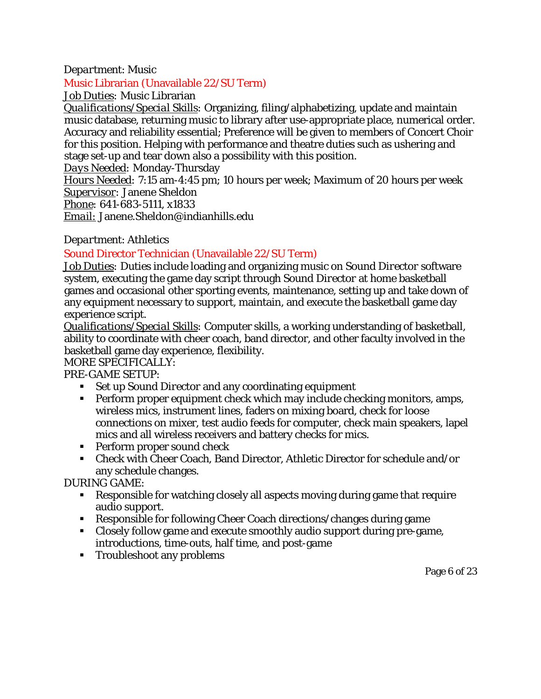## *Department*: Music

#### <span id="page-5-0"></span>Music Librarian (Unavailable 22/SU Term)

*Job Duties:* Music Librarian

*Qualifications/Special Skills:* Organizing, filing/alphabetizing, update and maintain music database, returning music to library after use-appropriate place, numerical order. Accuracy and reliability essential; Preference will be given to members of Concert Choir for this position. Helping with performance and theatre duties such as ushering and stage set-up and tear down also a possibility with this position.

*Days Needed:* Monday-Thursday

*Hours Needed:* 7:15 am-4:45 pm; 10 hours per week; Maximum of 20 hours per week *Supervisor:* Janene Sheldon

*Phone:* 641-683-5111, x1833

*Email:* Janene.Sheldon@indianhills.edu

## *Department*: Athletics

# <span id="page-5-1"></span>Sound Director Technician (Unavailable 22/SU Term)

*Job Duties:* Duties include loading and organizing music on *Sound Director* software system, executing the game day script through *Sound Director* at home basketball games and occasional other sporting events, maintenance, setting up and take down of any equipment necessary to support, maintain, and execute the basketball game day experience script.

*Qualifications/Special Skills:* Computer skills, a working understanding of basketball, ability to coordinate with cheer coach, band director, and other faculty involved in the basketball game day experience, flexibility.

MORE SPECIFICALLY:

## PRE-GAME SETUP:

- Set up *Sound Director* and any coordinating equipment
- **Perform proper equipment check which may include checking monitors, amps,** wireless mics, instrument lines, faders on mixing board, check for loose connections on mixer, test audio feeds for computer, check main speakers, lapel mics and all wireless receivers and battery checks for mics.
- **Perform proper sound check**
- Check with Cheer Coach, Band Director, Athletic Director for schedule and/or any schedule changes.

DURING GAME:

- Responsible for watching closely all aspects moving during game that require audio support.
- Responsible for following Cheer Coach directions/changes during game
- Closely follow game and execute smoothly audio support during pre-game, introductions, time-outs, half time, and post-game
- **Troubleshoot any problems**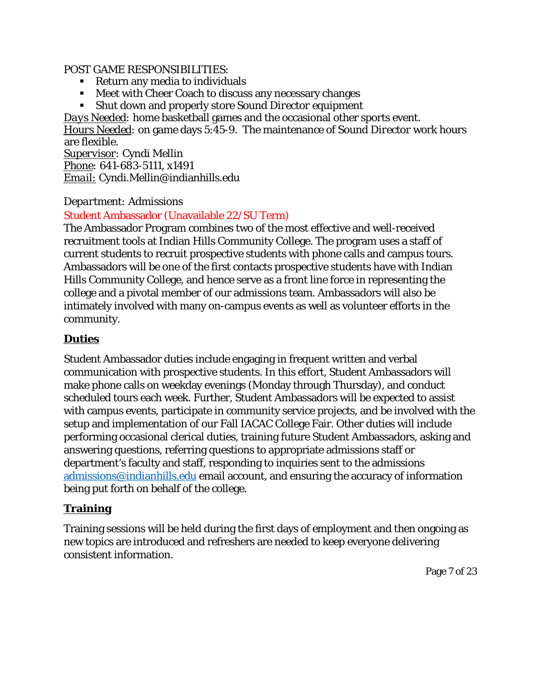#### POST GAME RESPONSIBILITIES:

- Return any media to individuals
- **Meet with Cheer Coach to discuss any necessary changes**
- Shut down and properly store *Sound Director* equipment

*Days Needed:* home basketball games and the occasional other sports event.

*Hours Needed:* on game days 5:45-9. The maintenance of *Sound Director* work hours are flexible.

*Supervisor:* Cyndi Mellin *Phone:* 641-683-5111, x1491 *Email:* Cyndi.Mellin@indianhills.edu

# *Department:* Admissions

# <span id="page-6-0"></span>Student Ambassador (Unavailable 22/SU Term)

The Ambassador Program combines two of the most effective and well-received recruitment tools at Indian Hills Community College. The program uses a staff of current students to recruit prospective students with phone calls and campus tours. Ambassadors will be one of the first contacts prospective students have with Indian Hills Community College, and hence serve as a front line force in representing the college and a pivotal member of our admissions team. Ambassadors will also be intimately involved with many on-campus events as well as volunteer efforts in the community.

# **Duties**

Student Ambassador duties include engaging in frequent written and verbal communication with prospective students. In this effort, Student Ambassadors will make phone calls on weekday evenings (Monday through Thursday), and conduct scheduled tours each week. Further, Student Ambassadors will be expected to assist with campus events, participate in community service projects, and be involved with the setup and implementation of our Fall IACAC College Fair. Other duties will include performing occasional clerical duties, training future Student Ambassadors, asking and answering questions, referring questions to appropriate admissions staff or department's faculty and staff, responding to inquiries sent to the admissions [admissions@indianhills.edu](mailto:admissions@indianhills.edu) email account, and ensuring the accuracy of information being put forth on behalf of the college.

# **Training**

Training sessions will be held during the first days of employment and then ongoing as new topics are introduced and refreshers are needed to keep everyone delivering consistent information.

Page 7 of 23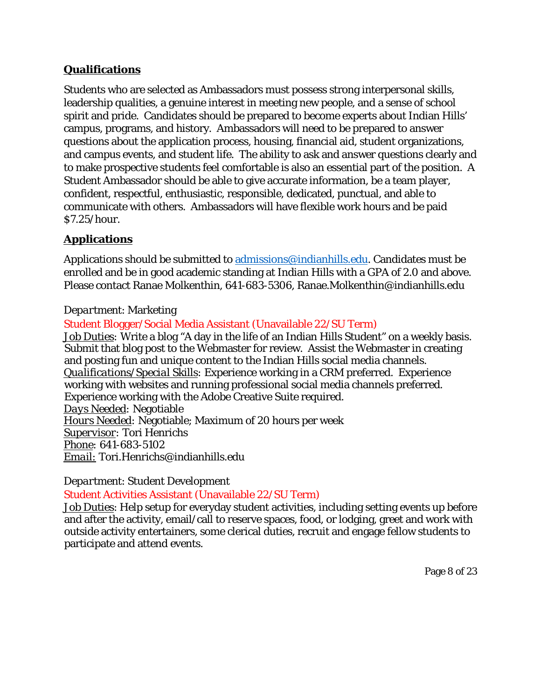# **Qualifications**

Students who are selected as Ambassadors must possess strong interpersonal skills, leadership qualities, a genuine interest in meeting new people, and a sense of school spirit and pride. Candidates should be prepared to become experts about Indian Hills' campus, programs, and history. Ambassadors will need to be prepared to answer questions about the application process, housing, financial aid, student organizations, and campus events, and student life. The ability to ask and answer questions clearly and to make prospective students feel comfortable is also an essential part of the position. A Student Ambassador should be able to give accurate information, be a team player, confident, respectful, enthusiastic, responsible, dedicated, punctual, and able to communicate with others. Ambassadors will have flexible work hours and be paid \$7.25/hour.

# **Applications**

Applications should be submitted to [admissions@indianhills.edu.](mailto:admissions@indianhills.edu) Candidates must be enrolled and be in good academic standing at Indian Hills with a GPA of 2.0 and above. Please contact Ranae Molkenthin, 641-683-5306, Ranae.Molkenthin@indianhills.edu

# *Department*: Marketing

<span id="page-7-0"></span>Student Blogger/Social Media Assistant (Unavailable 22/SU Term)

*Job Duties:* Write a blog "A day in the life of an Indian Hills Student" on a weekly basis. Submit that blog post to the Webmaster for review. Assist the Webmaster in creating and posting fun and unique content to the Indian Hills social media channels. *Qualifications/Special Skills:* Experience working in a CRM preferred. Experience working with websites and running professional social media channels preferred. Experience working with the Adobe Creative Suite required. *Days Needed:* Negotiable *Hours Needed:* Negotiable; Maximum of 20 hours per week *Supervisor:* Tori Henrichs *Phone:* 641-683-5102 *Email:* Tori.Henrichs@indianhills.edu

*Department*: Student Development

# <span id="page-7-1"></span>Student Activities Assistant (Unavailable 22/SU Term)

*Job Duties*: Help setup for everyday student activities, including setting events up before and after the activity, email/call to reserve spaces, food, or lodging, greet and work with outside activity entertainers, some clerical duties, recruit and engage fellow students to participate and attend events.

Page 8 of 23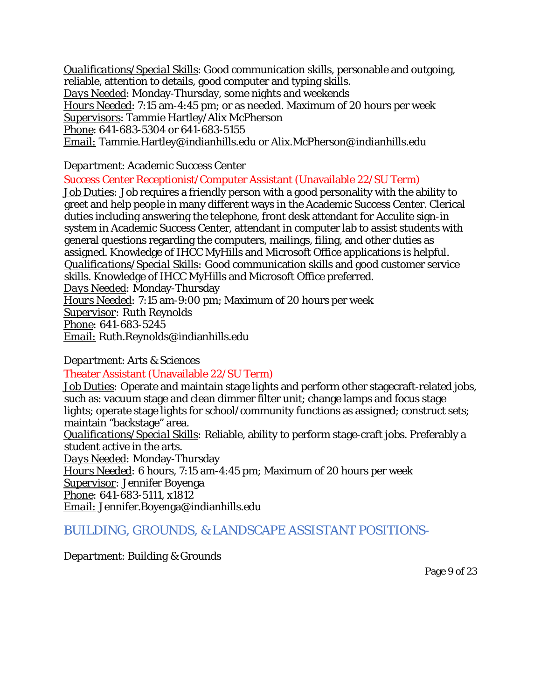*Qualifications/Special Skills*: Good communication skills, personable and outgoing, reliable, attention to details, good computer and typing skills.

*Days Needed*: Monday-Thursday, some nights and weekends

*Hours Needed*: 7:15 am-4:45 pm; or as needed. Maximum of 20 hours per week

*Supervisors*: Tammie Hartley/Alix McPherson

*Phone*: 641-683-5304 or 641-683-5155

*Email:* [Tammie.Hartley@indianhills.edu](mailto:Tammie.Hartley@indianhills.edu) or Alix.McPherson@indianhills.edu

### *Department*: Academic Success Center

<span id="page-8-0"></span>Success Center Receptionist/Computer Assistant (Unavailable 22/SU Term)

*Job Duties:* Job requires a friendly person with a good personality with the ability to greet and help people in many different ways in the Academic Success Center. Clerical duties including answering the telephone, front desk attendant for Acculite sign-in system in Academic Success Center, attendant in computer lab to assist students with general questions regarding the computers, mailings, filing, and other duties as assigned. Knowledge of IHCC MyHills and Microsoft Office applications is helpful. *Qualifications/Special Skills:* Good communication skills and good customer service skills. Knowledge of IHCC MyHills and Microsoft Office preferred. *Days Needed:* Monday-Thursday *Hours Needed:* 7:15 am-9:00 pm; Maximum of 20 hours per week *Supervisor:* Ruth Reynolds *Phone:* 641-683-5245 *Email:* Ruth.Reynolds@indianhills.edu

#### *Department*: Arts & Sciences

#### <span id="page-8-1"></span>Theater Assistant (Unavailable 22/SU Term)

*Job Duties:* Operate and maintain stage lights and perform other stagecraft-related jobs, such as: vacuum stage and clean dimmer filter unit; change lamps and focus stage lights; operate stage lights for school/community functions as assigned; construct sets; maintain "backstage" area.

*Qualifications/Special Skills:* Reliable, ability to perform stage-craft jobs. Preferably a student active in the arts.

*Days Needed:* Monday-Thursday

*Hours Needed:* 6 hours, 7:15 am-4:45 pm; Maximum of 20 hours per week

*Supervisor:* Jennifer Boyenga

*Phone:* 641-683-5111, x1812

<span id="page-8-2"></span>*Email:* Jennifer.Boyenga@indianhills.edu

# BUILDING, GROUNDS, & LANDSCAPE ASSISTANT POSITIONS-

#### *Department*: Building & Grounds

Page 9 of 23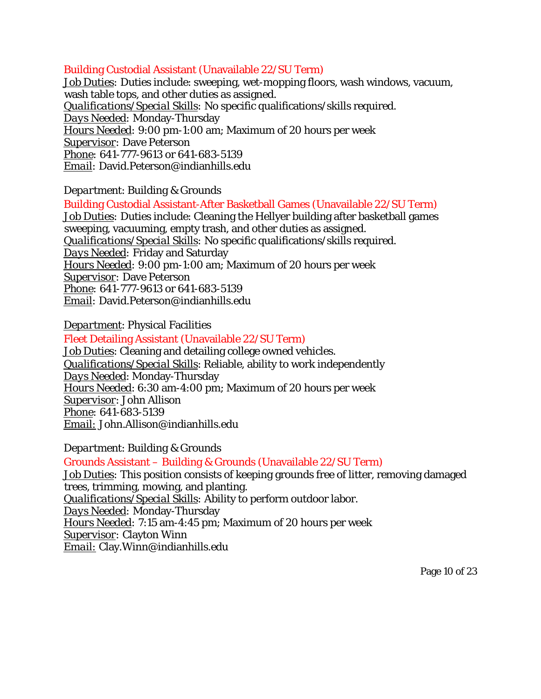#### <span id="page-9-0"></span>Building Custodial Assistant (Unavailable 22/SU Term)

*Job Duties:* Duties include: sweeping, wet-mopping floors, wash windows, vacuum, wash table tops, and other duties as assigned. *Qualifications/Special Skills:* No specific qualifications/skills required. *Days Needed:* Monday-Thursday *Hours Needed:* 9:00 pm-1:00 am; Maximum of 20 hours per week *Supervisor:* Dave Peterson *Phone:* 641-777-9613 or 641-683-5139 *Email:* [David.Peterson@indianhills.edu](mailto:David.Peterson@indianhills.edu)

*Department*: Building & Grounds

<span id="page-9-1"></span>Building Custodial Assistant-After Basketball Games (Unavailable 22/SU Term) *Job Duties:* Duties include: Cleaning the Hellyer building after basketball games sweeping, vacuuming, empty trash, and other duties as assigned. *Qualifications/Special Skills:* No specific qualifications/skills required. *Days Needed:* Friday and Saturday *Hours Needed:* 9:00 pm-1:00 am; Maximum of 20 hours per week *Supervisor:* Dave Peterson *Phone:* 641-777-9613 or 641-683-5139 *Email:* [David.Peterson@indianhills.edu](mailto:David.Peterson@indianhills.edu)

*Department*: Physical Facilities

<span id="page-9-2"></span>Fleet Detailing Assistant (Unavailable 22/SU Term) *Job Duties*: Cleaning and detailing college owned vehicles. *Qualifications/Special Skills*: Reliable, ability to work independently *Days Needed*: Monday-Thursday *Hours Needed*: 6:30 am-4:00 pm; Maximum of 20 hours per week *Supervisor*: John Allison *Phone:* 641-683-5139 *Email:* John.Allison@indianhills.edu

*Department*: Building & Grounds

<span id="page-9-3"></span>Grounds Assistant – Building & Grounds (Unavailable 22/SU Term) *Job Duties:* This position consists of keeping grounds free of litter, removing damaged trees, trimming, mowing, and planting. *Qualifications/Special Skills:* Ability to perform outdoor labor. *Days Needed:* Monday-Thursday *Hours Needed:* 7:15 am-4:45 pm; Maximum of 20 hours per week *Supervisor:* Clayton Winn *Email:* [Clay.Winn@indianhills.edu](mailto:Clay.Winn@indianhills.edu)

Page 10 of 23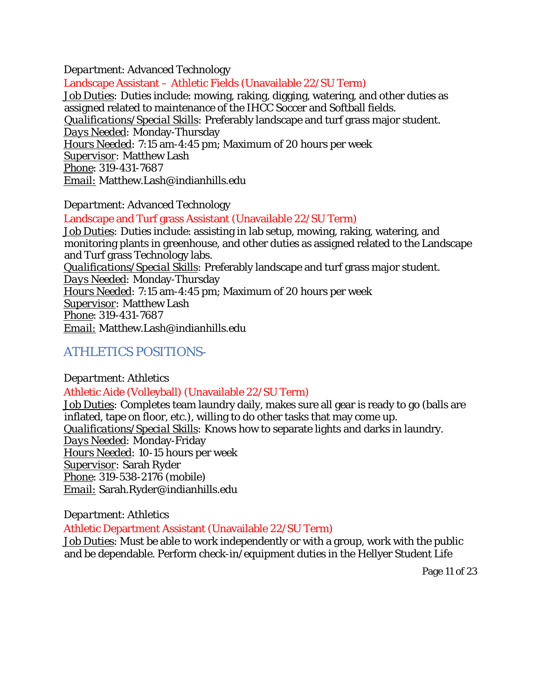*Department*: Advanced Technology

<span id="page-10-0"></span>Landscape Assistant – Athletic Fields (Unavailable 22/SU Term) *Job Duties:* Duties include: mowing, raking, digging, watering, and other duties as assigned related to maintenance of the IHCC Soccer and Softball fields. *Qualifications/Special Skills:* Preferably landscape and turf grass major student. *Days Needed:* Monday-Thursday *Hours Needed:* 7:15 am-4:45 pm; Maximum of 20 hours per week *Supervisor:* Matthew Lash *Phone*: 319-431-7687 *Email:* Matthew.Lash@indianhills.edu

*Department*: Advanced Technology

<span id="page-10-1"></span>Landscape and Turf grass Assistant (Unavailable 22/SU Term) *Job Duties:* Duties include: assisting in lab setup, mowing, raking, watering, and monitoring plants in greenhouse, and other duties as assigned related to the Landscape and Turf grass Technology labs. *Qualifications/Special Skills:* Preferably landscape and turf grass major student. *Days Needed:* Monday-Thursday *Hours Needed:* 7:15 am-4:45 pm; Maximum of 20 hours per week *Supervisor:* Matthew Lash *Phone*: 319-431-7687 *Email:* Matthew.Lash@indianhills.edu

# <span id="page-10-2"></span>ATHLETICS POSITIONS-

<span id="page-10-3"></span>*Department*: Athletics Athletic Aide (Volleyball) (Unavailable 22/SU Term) *Job Duties:* Completes team laundry daily, makes sure all gear is ready to go (balls are inflated, tape on floor, etc.), willing to do other tasks that may come up. *Qualifications/Special Skills:* Knows how to separate lights and darks in laundry. *Days Needed:* Monday-Friday *Hours Needed:* 10-15 hours per week *Supervisor:* Sarah Ryder *Phone*: 319-538-2176 (mobile)

*Email:* Sarah.Ryder@indianhills.edu

*Department*: Athletics

<span id="page-10-4"></span>Athletic Department Assistant (Unavailable 22/SU Term)

*Job Duties*: Must be able to work independently or with a group, work with the public and be dependable. Perform check-in/equipment duties in the Hellyer Student Life

Page 11 of 23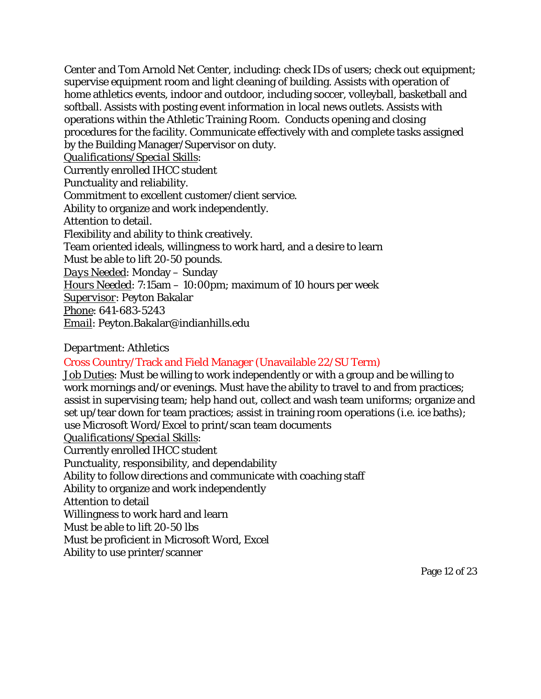Center and Tom Arnold Net Center, including: check IDs of users; check out equipment; supervise equipment room and light cleaning of building. Assists with operation of home athletics events, indoor and outdoor, including soccer, volleyball, basketball and softball. Assists with posting event information in local news outlets. Assists with operations within the Athletic Training Room. Conducts opening and closing procedures for the facility. Communicate effectively with and complete tasks assigned by the Building Manager/Supervisor on duty.

*Qualifications/Special Skills*:

Currently enrolled IHCC student Punctuality and reliability. Commitment to excellent customer/client service. Ability to organize and work independently. Attention to detail. Flexibility and ability to think creatively. Team oriented ideals, willingness to work hard, and a desire to learn Must be able to lift 20-50 pounds. *Days Needed*: Monday – Sunday *Hours Needed*: 7:15am – 10:00pm; maximum of 10 hours per week *Supervisor*: Peyton Bakalar *Phone*: 641-683-5243 *Email*: Peyton.Bakalar@indianhills.edu

## *Department*: Athletics

# <span id="page-11-0"></span>Cross Country/Track and Field Manager (Unavailable 22/SU Term)

*Job Duties*: Must be willing to work independently or with a group and be willing to work mornings and/or evenings. Must have the ability to travel to and from practices; assist in supervising team; help hand out, collect and wash team uniforms; organize and set up/tear down for team practices; assist in training room operations (i.e. ice baths); use Microsoft Word/Excel to print/scan team documents *Qualifications/Special Skills*:

Currently enrolled IHCC student Punctuality, responsibility, and dependability Ability to follow directions and communicate with coaching staff Ability to organize and work independently Attention to detail Willingness to work hard and learn Must be able to lift 20-50 lbs Must be proficient in Microsoft Word, Excel Ability to use printer/scanner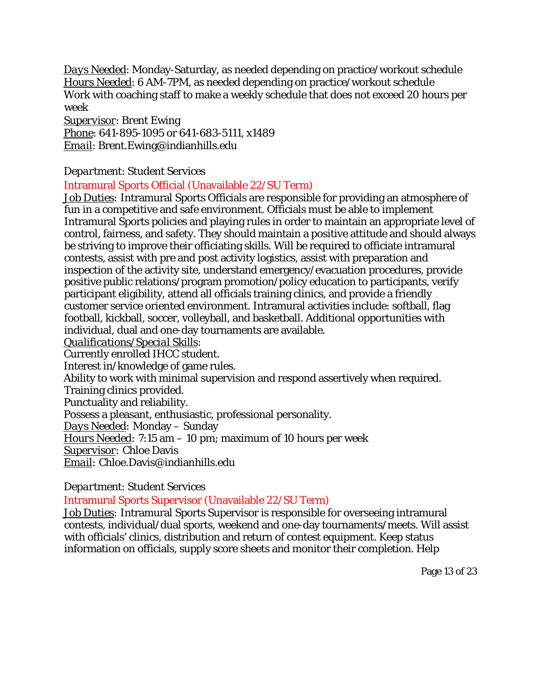*Days Needed*: Monday-Saturday, as needed depending on practice/workout schedule *Hours Needed*: 6 AM-7PM, as needed depending on practice/workout schedule Work with coaching staff to make a weekly schedule that does not exceed 20 hours per week

*Supervisor*: Brent Ewing *Phone*: 641-895-1095 or 641-683-5111, x1489 *Email*: Brent.Ewing@indianhills.edu

## *Department*: Student Services

#### <span id="page-12-0"></span>Intramural Sports Official (Unavailable 22/SU Term)

*Job Duties:* Intramural Sports Officials are responsible for providing an atmosphere of fun in a competitive and safe environment. Officials must be able to implement Intramural Sports policies and playing rules in order to maintain an appropriate level of control, fairness, and safety. They should maintain a positive attitude and should always be striving to improve their officiating skills. Will be required to officiate intramural contests, assist with pre and post activity logistics, assist with preparation and inspection of the activity site, understand emergency/evacuation procedures, provide positive public relations/program promotion/policy education to participants, verify participant eligibility, attend all officials training clinics, and provide a friendly customer service oriented environment. Intramural activities include: softball, flag football, kickball, soccer, volleyball, and basketball. Additional opportunities with individual, dual and one-day tournaments are available.

#### *Qualifications/Special Skills:*

Currently enrolled IHCC student.

Interest in/knowledge of game rules.

Ability to work with minimal supervision and respond assertively when required.

Training clinics provided.

Punctuality and reliability.

Possess a pleasant, enthusiastic, professional personality.

*Days Needed:* Monday – Sunday

*Hours Needed:* 7:15 am – 10 pm; maximum of 10 hours per week

*Supervisor:* Chloe Davis

*Email:* Chloe.Davis@indianhills.edu

# *Department*: Student Services

# <span id="page-12-1"></span>Intramural Sports Supervisor (Unavailable 22/SU Term)

*Job Duties:* Intramural Sports Supervisor is responsible for overseeing intramural contests, individual/dual sports, weekend and one-day tournaments/meets. Will assist with officials' clinics, distribution and return of contest equipment. Keep status information on officials, supply score sheets and monitor their completion. Help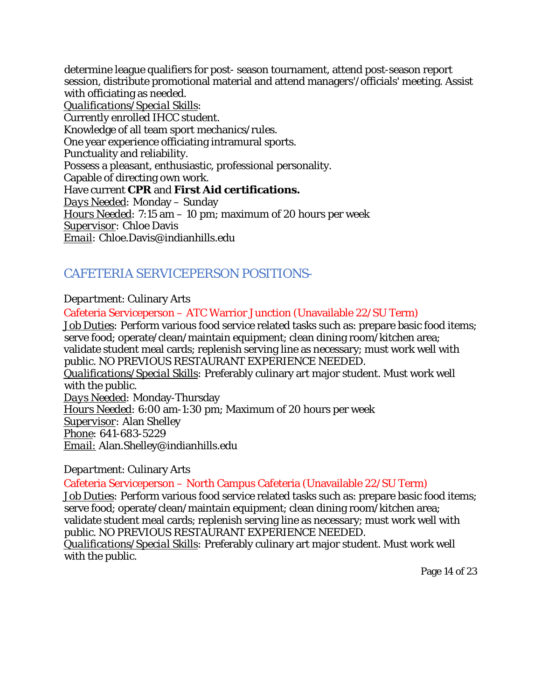determine league qualifiers for post- season tournament, attend post-season report session, distribute promotional material and attend managers'/officials' meeting. Assist with officiating as needed. *Qualifications/Special Skills:*  Currently enrolled IHCC student. Knowledge of all team sport mechanics/rules. One year experience officiating intramural sports. Punctuality and reliability. Possess a pleasant, enthusiastic, professional personality. Capable of directing own work. Have current **CPR** and **First Aid certifications.** *Days Needed:* Monday – Sunday *Hours Needed:* 7:15 am – 10 pm; maximum of 20 hours per week *Supervisor:* Chloe Davis *Email:* Chloe.Davis@indianhills.edu

# <span id="page-13-0"></span>CAFETERIA SERVICEPERSON POSITIONS-

## *Department*: Culinary Arts

<span id="page-13-1"></span>Cafeteria Serviceperson – ATC Warrior Junction (Unavailable 22/SU Term) *Job Duties:* Perform various food service related tasks such as: prepare basic food items; serve food; operate/clean/maintain equipment; clean dining room/kitchen area; validate student meal cards; replenish serving line as necessary; must work well with public. NO PREVIOUS RESTAURANT EXPERIENCE NEEDED. *Qualifications/Special Skills:* Preferably culinary art major student. Must work well with the public. *Days Needed:* Monday-Thursday *Hours Needed:* 6:00 am-1:30 pm; Maximum of 20 hours per week *Supervisor:* Alan Shelley *Phone:* 641-683-5229 *Email:* Alan.Shelley@indianhills.edu

#### *Department*: Culinary Arts

<span id="page-13-2"></span>Cafeteria Serviceperson – North Campus Cafeteria (Unavailable 22/SU Term)

*Job Duties:* Perform various food service related tasks such as: prepare basic food items; serve food; operate/clean/maintain equipment; clean dining room/kitchen area; validate student meal cards; replenish serving line as necessary; must work well with public. NO PREVIOUS RESTAURANT EXPERIENCE NEEDED.

*Qualifications/Special Skills:* Preferably culinary art major student. Must work well with the public.

Page 14 of 23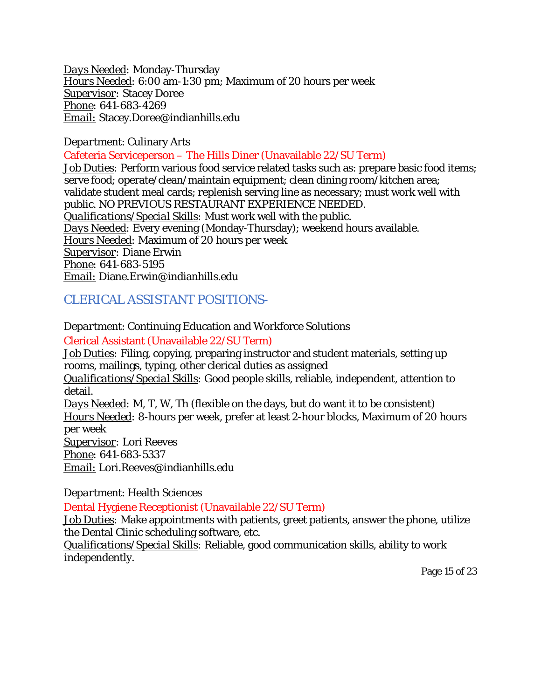*Days Needed:* Monday-Thursday *Hours Needed:* 6:00 am-1:30 pm; Maximum of 20 hours per week *Supervisor:* Stacey Doree *Phone:* 641-683-4269 *Email:* Stacey.Doree@indianhills.edu

#### *Department*: Culinary Arts

<span id="page-14-0"></span>Cafeteria Serviceperson – The Hills Diner (Unavailable 22/SU Term)

*Job Duties:* Perform various food service related tasks such as: prepare basic food items; serve food; operate/clean/maintain equipment; clean dining room/kitchen area; validate student meal cards; replenish serving line as necessary; must work well with public. NO PREVIOUS RESTAURANT EXPERIENCE NEEDED. *Qualifications/Special Skills:* Must work well with the public. *Days Needed:* Every evening (Monday-Thursday); weekend hours available. *Hours Needed:* Maximum of 20 hours per week *Supervisor:* Diane Erwin *Phone:* 641-683-5195 *Email:* Diane.Erwin@indianhills.edu

# <span id="page-14-1"></span>CLERICAL ASSISTANT POSITIONS-

## *Department*: Continuing Education and Workforce Solutions

## <span id="page-14-2"></span>Clerical Assistant (Unavailable 22/SU Term)

*Job Duties:* Filing, copying, preparing instructor and student materials, setting up rooms, mailings, typing, other clerical duties as assigned

*Qualifications/Special Skills:* Good people skills, reliable, independent, attention to detail.

*Days Needed:* M, T, W, Th (flexible on the days, but do want it to be consistent) *Hours Needed:* 8-hours per week, prefer at least 2-hour blocks, Maximum of 20 hours per week

*Supervisor:* Lori Reeves

*Phone:* 641-683-5337

*Email:* [Lori.Reeves@indianhills.edu](mailto:Lori.Reeves@indianhills.edu)

*Department*: Health Sciences

<span id="page-14-3"></span>Dental Hygiene Receptionist (Unavailable 22/SU Term)

*Job Duties:* Make appointments with patients, greet patients, answer the phone, utilize the Dental Clinic scheduling software, etc.

*Qualifications/Special Skills:* Reliable, good communication skills, ability to work independently.

Page 15 of 23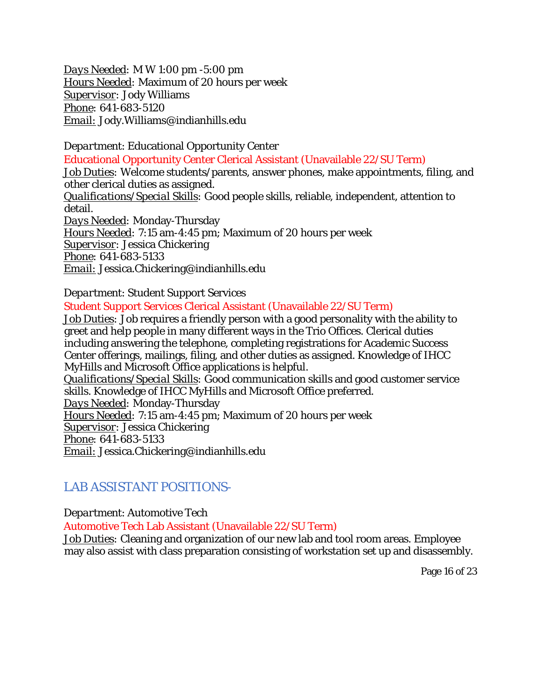*Days Needed:* M W 1:00 pm -5:00 pm *Hours Needed:* Maximum of 20 hours per week *Supervisor:* Jody Williams *Phone:* 641-683-5120 *Email:* Jody.Williams@indianhills.edu

<span id="page-15-0"></span>*Department*: Educational Opportunity Center Educational Opportunity Center Clerical Assistant (Unavailable 22/SU Term) *Job Duties:* Welcome students/parents, answer phones, make appointments, filing, and other clerical duties as assigned. *Qualifications/Special Skills:* Good people skills, reliable, independent, attention to detail. *Days Needed:* Monday-Thursday *Hours Needed:* 7:15 am-4:45 pm; Maximum of 20 hours per week *Supervisor:* Jessica Chickering *Phone:* 641-683-5133 *Email:* Jessica.Chickering@indianhills.edu

*Department*: Student Support Services

<span id="page-15-1"></span>Student Support Services Clerical Assistant (Unavailable 22/SU Term)

*Job Duties:* Job requires a friendly person with a good personality with the ability to greet and help people in many different ways in the Trio Offices. Clerical duties including answering the telephone, completing registrations for Academic Success Center offerings, mailings, filing, and other duties as assigned. Knowledge of IHCC MyHills and Microsoft Office applications is helpful.

*Qualifications/Special Skills:* Good communication skills and good customer service skills. Knowledge of IHCC MyHills and Microsoft Office preferred.

*Days Needed:* Monday-Thursday

*Hours Needed:* 7:15 am-4:45 pm; Maximum of 20 hours per week

*Supervisor:* Jessica Chickering

*Phone:* 641-683-5133

*Email:* Jessica.Chickering@indianhills.edu

# <span id="page-15-2"></span>LAB ASSISTANT POSITIONS-

*Department*: Automotive Tech

<span id="page-15-3"></span>Automotive Tech Lab Assistant (Unavailable 22/SU Term)

*Job Duties:* Cleaning and organization of our new lab and tool room areas. Employee may also assist with class preparation consisting of workstation set up and disassembly.

Page 16 of 23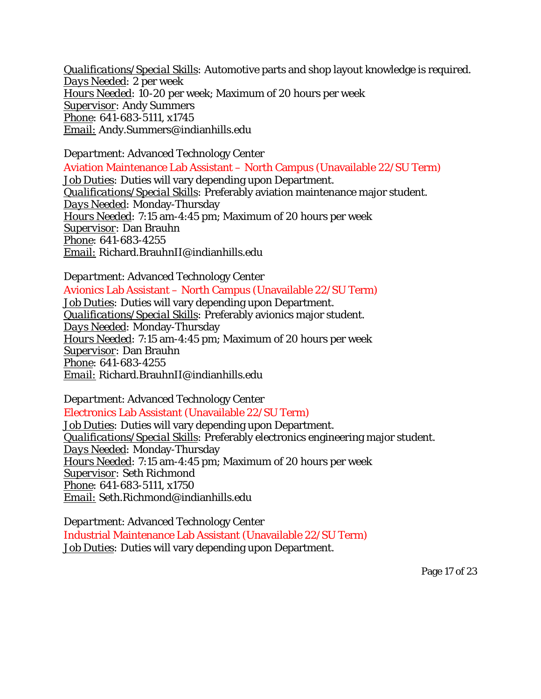*Qualifications/Special Skills:* Automotive parts and shop layout knowledge is required. *Days Needed:* 2 per week *Hours Needed:* 10-20 per week; Maximum of 20 hours per week *Supervisor:* Andy Summers *Phone:* 641-683-5111, x1745 *Email:* Andy.Summers@indianhills.edu

<span id="page-16-0"></span>*Department*: Advanced Technology Center Aviation Maintenance Lab Assistant – North Campus (Unavailable 22/SU Term) *Job Duties:* Duties will vary depending upon Department. *Qualifications/Special Skills:* Preferably aviation maintenance major student. *Days Needed:* Monday-Thursday *Hours Needed:* 7:15 am-4:45 pm; Maximum of 20 hours per week *Supervisor:* Dan Brauhn *Phone:* 641-683-4255 *Email:* Richard.BrauhnII@indianhills.edu

<span id="page-16-1"></span>*Department*: Advanced Technology Center Avionics Lab Assistant – North Campus (Unavailable 22/SU Term) *Job Duties:* Duties will vary depending upon Department. *Qualifications/Special Skills:* Preferably avionics major student. *Days Needed:* Monday-Thursday *Hours Needed:* 7:15 am-4:45 pm; Maximum of 20 hours per week *Supervisor:* Dan Brauhn *Phone:* 641-683-4255 *Email:* Richard.BrauhnII@indianhills.edu

<span id="page-16-2"></span>*Department*: Advanced Technology Center Electronics Lab Assistant (Unavailable 22/SU Term) *Job Duties:* Duties will vary depending upon Department. *Qualifications/Special Skills:* Preferably electronics engineering major student. *Days Needed:* Monday-Thursday *Hours Needed:* 7:15 am-4:45 pm; Maximum of 20 hours per week *Supervisor:* Seth Richmond *Phone:* 641-683-5111, x1750 *Email:* Seth.Richmond@indianhills.edu

<span id="page-16-3"></span>*Department*: Advanced Technology Center Industrial Maintenance Lab Assistant (Unavailable 22/SU Term) *Job Duties:* Duties will vary depending upon Department.

Page 17 of 23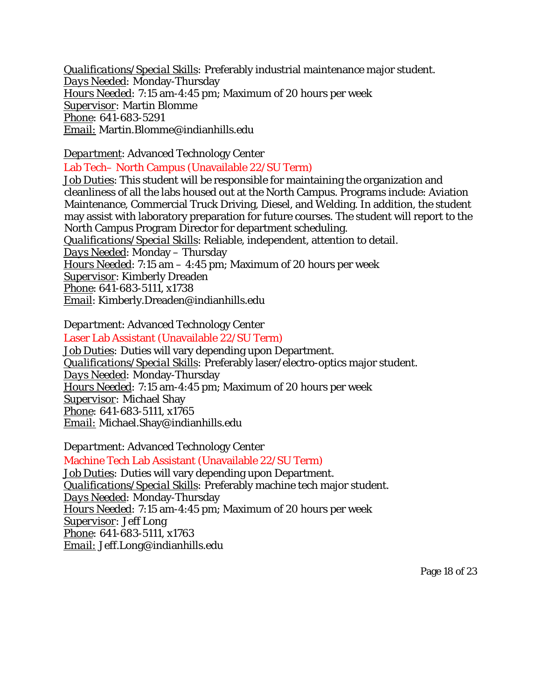*Qualifications/Special Skills:* Preferably industrial maintenance major student. *Days Needed:* Monday-Thursday *Hours Needed:* 7:15 am-4:45 pm; Maximum of 20 hours per week *Supervisor:* Martin Blomme *Phone:* 641-683-5291 *Email:* Martin.Blomme@indianhills.edu

*Department*: Advanced Technology Center

<span id="page-17-0"></span>Lab Tech– North Campus (Unavailable 22/SU Term)

*Job Duties*: This student will be responsible for maintaining the organization and cleanliness of all the labs housed out at the North Campus. Programs include: Aviation Maintenance, Commercial Truck Driving, Diesel, and Welding. In addition, the student may assist with laboratory preparation for future courses. The student will report to the North Campus Program Director for department scheduling. *Qualifications/Special Skills*: Reliable, independent, attention to detail. *Days Needed*: Monday – Thursday *Hours Needed*: 7:15 am – 4:45 pm; Maximum of 20 hours per week

*Supervisor*: Kimberly Dreaden

*Phone*: 641-683-5111, x1738

*Email*: Kimberly.Dreaden@indianhills.edu

<span id="page-17-1"></span>*Department*: Advanced Technology Center Laser Lab Assistant (Unavailable 22/SU Term) *Job Duties:* Duties will vary depending upon Department. *Qualifications/Special Skills:* Preferably laser/electro-optics major student. *Days Needed:* Monday-Thursday *Hours Needed:* 7:15 am-4:45 pm; Maximum of 20 hours per week *Supervisor:* Michael Shay *Phone:* 641-683-5111, x1765 *Email:* Michael.Shay@indianhills.edu

<span id="page-17-2"></span>*Department*: Advanced Technology Center Machine Tech Lab Assistant (Unavailable 22/SU Term) *Job Duties:* Duties will vary depending upon Department. *Qualifications/Special Skills:* Preferably machine tech major student. *Days Needed:* Monday-Thursday *Hours Needed:* 7:15 am-4:45 pm; Maximum of 20 hours per week *Supervisor:* Jeff Long *Phone:* 641-683-5111, x1763 *Email:* Jeff.Long@indianhills.edu

Page 18 of 23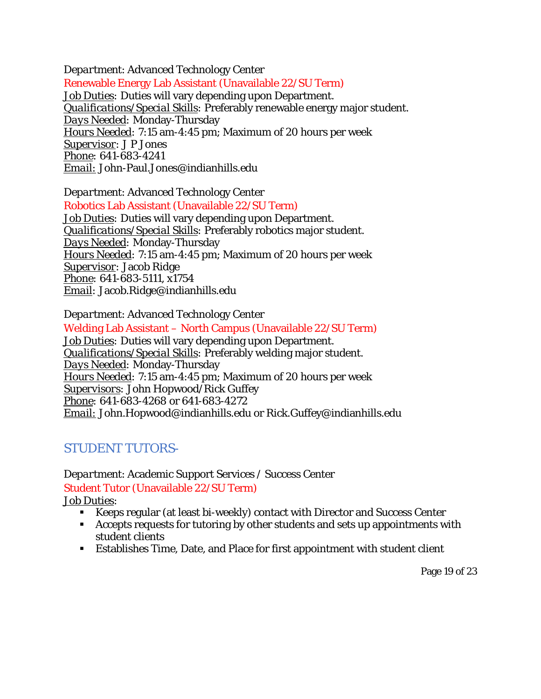<span id="page-18-0"></span>*Department*: Advanced Technology Center Renewable Energy Lab Assistant (Unavailable 22/SU Term) *Job Duties:* Duties will vary depending upon Department. *Qualifications/Special Skills:* Preferably renewable energy major student. *Days Needed:* Monday-Thursday *Hours Needed:* 7:15 am-4:45 pm; Maximum of 20 hours per week *Supervisor:* J P Jones *Phone:* 641-683-4241 *Email:* John-Paul.Jones@indianhills.edu

*Department*: Advanced Technology Center

<span id="page-18-1"></span>Robotics Lab Assistant (Unavailable 22/SU Term) *Job Duties:* Duties will vary depending upon Department. *Qualifications/Special Skills:* Preferably robotics major student. *Days Needed:* Monday-Thursday *Hours Needed:* 7:15 am-4:45 pm; Maximum of 20 hours per week *Supervisor:* Jacob Ridge *Phone:* 641-683-5111, x1754 *Email:* [Jacob.Ridge@indianhills.edu](mailto:Jacob.Ridge@indianhills.edu)

<span id="page-18-2"></span>*Department*: Advanced Technology Center Welding Lab Assistant – North Campus (Unavailable 22/SU Term) *Job Duties:* Duties will vary depending upon Department. *Qualifications/Special Skills:* Preferably welding major student. *Days Needed:* Monday-Thursday *Hours Needed:* 7:15 am-4:45 pm; Maximum of 20 hours per week *Supervisors:* John Hopwood/Rick Guffey *Phone:* 641-683-4268 or 641-683-4272 *Email:* [John.Hopwood@indianhills.edu](mailto:John.Hopwood@indianhills.edu) or Rick.Guffey@indianhills.edu

# <span id="page-18-3"></span>STUDENT TUTORS-

<span id="page-18-4"></span>*Department*: Academic Support Services / Success Center Student Tutor (Unavailable 22/SU Term)

*Job Duties:*

- Keeps regular (at least bi-weekly) contact with Director and Success Center
- Accepts requests for tutoring by other students and sets up appointments with student clients
- Establishes Time, Date, and Place for first appointment with student client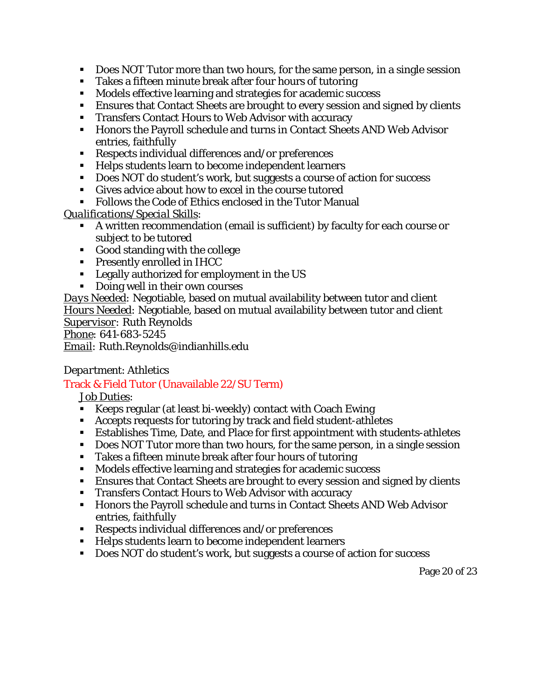- Does NOT Tutor more than two hours, for the same person, in a single session
- Takes a fifteen minute break after four hours of tutoring
- Models effective learning and strategies for academic success
- Ensures that Contact Sheets are brought to every session and signed by clients
- **Transfers Contact Hours to Web Advisor with accuracy**
- Honors the Payroll schedule and turns in Contact Sheets AND Web Advisor entries, faithfully
- Respects individual differences and/or preferences
- Helps students learn to become independent learners
- Does NOT do student's work, but suggests a course of action for success
- Gives advice about how to excel in the course tutored
- Follows the Code of Ethics enclosed in the Tutor Manual

## *Qualifications/Special Skills:*

- A written recommendation (email is sufficient) by faculty for each course or subject to be tutored
- Good standing with the college
- **Presently enrolled in IHCC**
- **Legally authorized for employment in the US**
- **Doing well in their own courses**

*Days Needed:* Negotiable, based on mutual availability between tutor and client *Hours Needed:* Negotiable, based on mutual availability between tutor and client *Supervisor:* Ruth Reynolds *Phone:* 641-683-5245

*Email:* [Ruth.Reynolds@indianhills.edu](mailto:Ruth.Reynolds@indianhills.edu)

# *Department*: Athletics

# <span id="page-19-0"></span>Track & Field Tutor (Unavailable 22/SU Term)

#### *Job Duties:*

- Keeps regular (at least bi-weekly) contact with Coach Ewing
- Accepts requests for tutoring by track and field student-athletes
- Establishes Time, Date, and Place for first appointment with students-athletes
- Does NOT Tutor more than two hours, for the same person, in a single session
- Takes a fifteen minute break after four hours of tutoring
- Models effective learning and strategies for academic success
- Ensures that Contact Sheets are brought to every session and signed by clients
- **Transfers Contact Hours to Web Advisor with accuracy**
- **Honors the Payroll schedule and turns in Contact Sheets AND Web Advisor** entries, faithfully
- Respects individual differences and/or preferences
- Helps students learn to become independent learners
- Does NOT do student's work, but suggests a course of action for success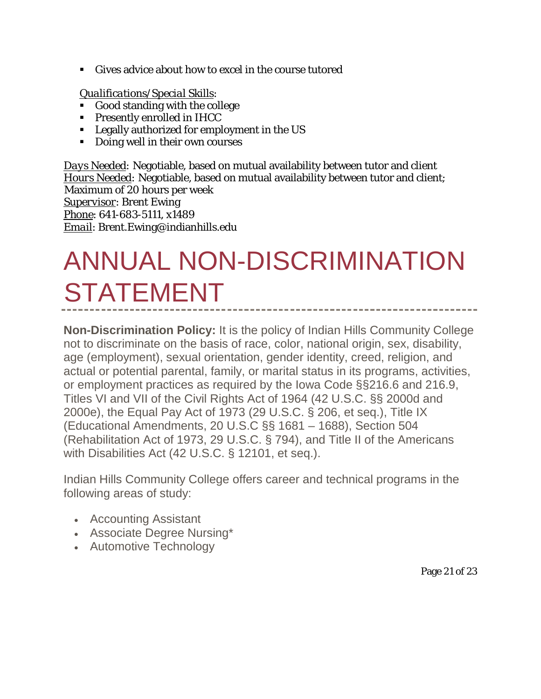Gives advice about how to excel in the course tutored

## *Qualifications/Special Skills:*

- Good standing with the college
- **Presently enrolled in IHCC**
- **Legally authorized for employment in the US**
- Doing well in their own courses

*Days Needed:* Negotiable, based on mutual availability between tutor and client *Hours Needed:* Negotiable, based on mutual availability between tutor and client; Maximum of 20 hours per week *Supervisor*: Brent Ewing *Phone*: 641-683-5111, x1489 *Email*: Brent.Ewing@indianhills.edu

# <span id="page-20-0"></span>ANNUAL NON-DISCRIMINATION **STATEMENT**

**Non-Discrimination Policy:** It is the policy of Indian Hills Community College not to discriminate on the basis of race, color, national origin, sex, disability, age (employment), sexual orientation, gender identity, creed, religion, and actual or potential parental, family, or marital status in its programs, activities, or employment practices as required by the Iowa Code §§216.6 and 216.9, Titles VI and VII of the Civil Rights Act of 1964 (42 U.S.C. §§ 2000d and 2000e), the Equal Pay Act of 1973 (29 U.S.C. § 206, et seq.), Title IX (Educational Amendments, 20 U.S.C §§ 1681 – 1688), Section 504 (Rehabilitation Act of 1973, 29 U.S.C. § 794), and Title II of the Americans with Disabilities Act (42 U.S.C. § 12101, et seq.).

Indian Hills Community College offers career and technical programs in the following areas of study:

- Accounting Assistant
- Associate Degree Nursing\*
- Automotive Technology

Page 21 of 23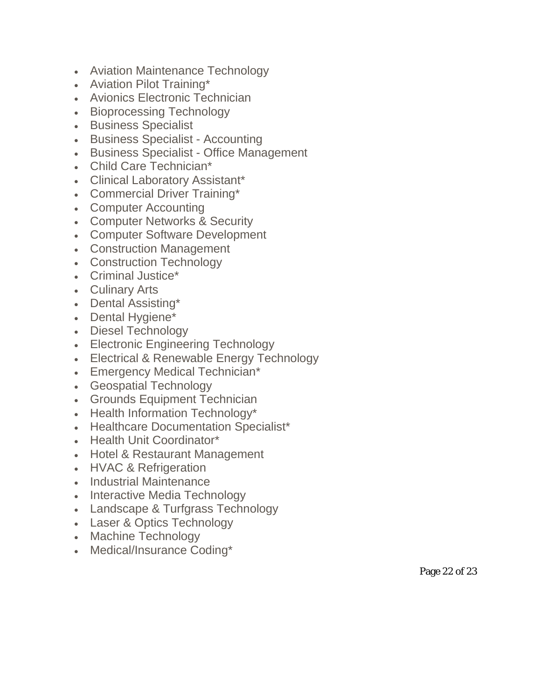- Aviation Maintenance Technology
- Aviation Pilot Training\*
- Avionics Electronic Technician
- Bioprocessing Technology
- Business Specialist
- Business Specialist Accounting
- Business Specialist Office Management
- Child Care Technician\*
- Clinical Laboratory Assistant\*
- Commercial Driver Training\*
- Computer Accounting
- Computer Networks & Security
- Computer Software Development
- Construction Management
- Construction Technology
- Criminal Justice\*
- Culinary Arts
- Dental Assisting\*
- Dental Hygiene\*
- Diesel Technology
- Electronic Engineering Technology
- Electrical & Renewable Energy Technology
- Emergency Medical Technician\*
- Geospatial Technology
- Grounds Equipment Technician
- Health Information Technology\*
- Healthcare Documentation Specialist\*
- Health Unit Coordinator\*
- Hotel & Restaurant Management
- HVAC & Refrigeration
- Industrial Maintenance
- Interactive Media Technology
- Landscape & Turfgrass Technology
- Laser & Optics Technology
- Machine Technology
- Medical/Insurance Coding\*